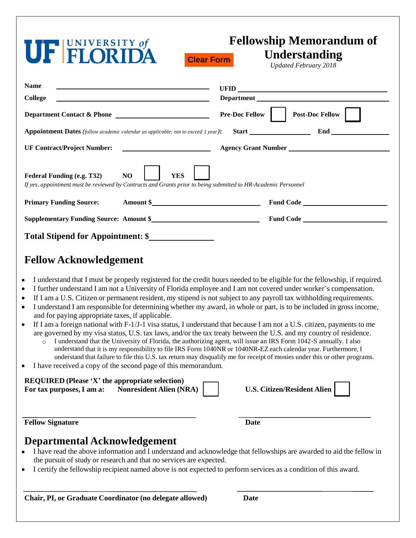| <b>UF FLORIDA</b>                                                                                                                                                                                                          | <b>Fellowship Memorandum of</b><br>Understanding<br><b>Clear Form</b><br><b>Updated February 2018</b> |
|----------------------------------------------------------------------------------------------------------------------------------------------------------------------------------------------------------------------------|-------------------------------------------------------------------------------------------------------|
| <b>Name</b><br><u> 1989 - Johann John Stone, Amerikaansk politiker († 1908)</u><br><b>College</b><br><u> 1989 - Johann Barbara, martin amerikan basar dan berasal dalam basar dalam basar dalam basar dalam basar dala</u> | Department                                                                                            |
| Department Contact & Phone                                                                                                                                                                                                 | <b>Post-Doc Fellow</b><br><b>Pre-Doc Fellow</b>                                                       |
| <b>Appointment Dates</b> (follow academic calendar as applicable; not to exceed 1 year):                                                                                                                                   | Start End End                                                                                         |
| <b>UF Contract/Project Number:</b>                                                                                                                                                                                         | <b>Example 2.1 Agency Grant Number Contract 2.1 Agency Grant Number</b>                               |
| NO<br><b>YES</b><br>Federal Funding (e.g. T32)<br>If yes, appointment must be reviewed by Contracts and Grants prior to being submitted to HR-Academic Personnel                                                           |                                                                                                       |
| Amount \$<br><b>Primary Funding Source:</b>                                                                                                                                                                                | Fund Code                                                                                             |
| Supplementary Funding Source: Amount \$                                                                                                                                                                                    |                                                                                                       |
| Total Stipend for Appointment: \$                                                                                                                                                                                          |                                                                                                       |

## **Fellow Acknowledgement**

- I understand that I must be properly registered for the credit hours needed to be eligible for the fellowship, if required.
- I further understand I am not a University of Florida employee and I am not covered under worker's compensation.
- If I am a U.S. Citizen or permanent resident, my stipend is not subject to any payroll tax withholding requirements.
- I understand I am responsible for determining whether my award, in whole or part, is to be included in gross income, and for paying appropriate taxes, if applicable.
- If I am a foreign national with F-1/J-1 visa status, I understand that because I am not a U.S. citizen, payments to me are governed by my visa status, U.S. tax laws, and/or the tax treaty between the U.S. and my country of residence.
	- o I understand that the University of Florida, the authorizing agent, will issue an IRS Form 1042-S annually. I also understand that it is my responsibility to file IRS Form 1040NR or 1040NR-EZ each calendar year. Furthermore, I understand that failure to file this U.S. tax return may disqualify me for receipt of monies under this or other programs.
- I have received a copy of the second page of this memorandum.

| <b>REQUIRED</b> (Please 'X' the appropriate selection)      |                                    |
|-------------------------------------------------------------|------------------------------------|
| <b>Nonresident Alien (NRA)</b><br>For tax purposes, I am a: | <b>U.S. Citizen/Resident Alien</b> |

| <b>U.S. Citizen/Resident Alien</b> |
|------------------------------------|
|                                    |

**Fellow Signature Date**

## **Departmental Acknowledgement**

- I have read the above information and I understand and acknowledge that fellowships are awarded to aid the fellow in the pursuit of study or research and that no services are expected.
- I certify the fellowship recipient named above is not expected to perform services as a condition of this award.

**Chair, PI, or Graduate Coordinator (no delegate allowed) Date**